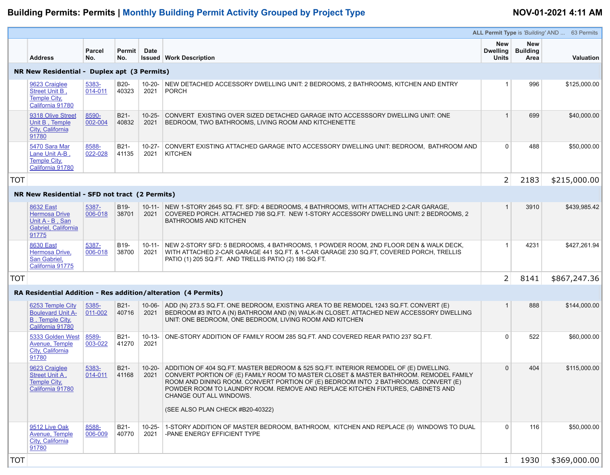# **Building Permits: Permits | Monthly Building Permit Activity Grouped by Project Type NOV-01-2021 4:11 AM**

|                                                                            |                      |                 |                              | $\sqrt{ }$                                                                                                                            |
|----------------------------------------------------------------------------|----------------------|-----------------|------------------------------|---------------------------------------------------------------------------------------------------------------------------------------|
| <b>Address</b>                                                             | <b>Parcel</b><br>No. | Permit  <br>No. | <b>Date</b><br><b>Issued</b> | <b>Work Description</b>                                                                                                               |
| NR New Residential - Duplex apt (3 Permits)                                |                      |                 |                              |                                                                                                                                       |
| 9623 Craiglee<br>Street Unit B,<br><b>Temple City,</b><br>California 91780 | 5383-<br>014-011     | B20-<br>40323   | $10 - 20 -$<br>2021          | NEW DETACHED ACCESSORY DWELLING UNIT: 2 BEDROOMS, 2 BATHROOMS, KITCHEN AND ENTRY<br><b>PORCH</b>                                      |
| 9318 Olive Street<br>Unit B, Temple<br>City, California<br>91780           | 8590-<br>002-004     | B21-<br>40832   | $10 - 25 -$<br>2021          | CONVERT EXISTING OVER SIZED DETACHED GARAGE INTO ACCESSSORY DWELLING UNIT: ONE<br>BEDROOM, TWO BATHROOMS, LIVING ROOM AND KITCHENETTE |
| 5470 Sara Mar<br>Lane Unit A-B<br><b>Temple City,</b><br>California 91780  | 8588-<br>022-028     | B21-<br>41135   | $10 - 27 -$<br>2021          | CONVERT EXISTING ATTACHED GARAGE INTO ACCESSORY DWELLING UNIT: BEDROOM, BATHROOM AND<br><b>KITCHEN</b>                                |

## **NR New Residential - SFD not tract (2 Permits)**

| <b>8632 East</b><br><b>Hermosa Drive</b><br>Unit A - B, San<br>Gabriel, California<br>91775 | 5387-<br>006-018 | B <sub>19</sub> -<br>38701 | $10-11-$<br>2021 | NEW 1-STORY 2645 SQ. FT. SFD: 4 BEDROOMS, 4 BATHROOMS, WITH ATTACHED 2-CAR GARAGE,<br>COVERED PORCH. ATTACHED 798 SQ.FT. NEW 1-STORY ACCESSORY DWELLING UNIT: 2 BEDROOMS, 2<br><b>BATHROOMS AND KITCHEN</b>                            |
|---------------------------------------------------------------------------------------------|------------------|----------------------------|------------------|----------------------------------------------------------------------------------------------------------------------------------------------------------------------------------------------------------------------------------------|
| <b>8630 East</b><br>Hermosa Drive,<br>San Gabriel,<br>California 91775                      | 5387-<br>006-018 | B <sub>19</sub> -<br>38700 | 10-11- l<br>2021 | NEW 2-STORY SFD: 5 BEDROOMS, 4 BATHROOMS, 1 POWDER ROOM, 2ND FLOOR DEN & WALK DECK,<br>WITH ATTACHED 2-CAR GARAGE 441 SQ.FT. & 1-CAR GARAGE 230 SQ.FT, COVERED PORCH, TRELLIS<br>PATIO (1) 205 SQ.FT. AND TRELLIS PATIO (2) 186 SQ.FT. |
|                                                                                             |                  |                            |                  |                                                                                                                                                                                                                                        |

|            |                                                                                             |                      |                            |                     |                                                                                                                                                                                                                                                                                                                                                                                                                             |                                               |                                              | <b>ALL Permit Type is 'Building' AND  63 Permits</b> |
|------------|---------------------------------------------------------------------------------------------|----------------------|----------------------------|---------------------|-----------------------------------------------------------------------------------------------------------------------------------------------------------------------------------------------------------------------------------------------------------------------------------------------------------------------------------------------------------------------------------------------------------------------------|-----------------------------------------------|----------------------------------------------|------------------------------------------------------|
|            | <b>Address</b>                                                                              | <b>Parcel</b><br>No. | Permit  <br>No.            | <b>Date</b>         | <b>Issued   Work Description</b>                                                                                                                                                                                                                                                                                                                                                                                            | <b>New</b><br><b>Dwelling</b><br><b>Units</b> | <b>New</b><br><b>Building</b><br><b>Area</b> | <b>Valuation</b>                                     |
|            | NR New Residential - Duplex apt (3 Permits)                                                 |                      |                            |                     |                                                                                                                                                                                                                                                                                                                                                                                                                             |                                               |                                              |                                                      |
|            | 9623 Craiglee<br><b>Street Unit B.</b><br><b>Temple City,</b><br>California 91780           | 5383-<br>014-011     | B20-<br>40323              | 2021                | 10-20- NEW DETACHED ACCESSORY DWELLING UNIT: 2 BEDROOMS, 2 BATHROOMS, KITCHEN AND ENTRY<br>PORCH                                                                                                                                                                                                                                                                                                                            |                                               | 996                                          | \$125,000.00                                         |
|            | 9318 Olive Street<br>Unit B, Temple<br>City, California<br>91780                            | 8590-<br>002-004     | B21-<br>40832              | $10 - 25 -$<br>2021 | CONVERT_EXISTING OVER SIZED DETACHED GARAGE INTO ACCESSSORY DWELLING UNIT: ONE<br>BEDROOM, TWO BATHROOMS, LIVING ROOM AND KITCHENETTE                                                                                                                                                                                                                                                                                       |                                               | 699                                          | \$40,000.00                                          |
|            | 5470 Sara Mar<br>Lane Unit A-B,<br><b>Temple City,</b><br>California 91780                  | 8588-<br>022-028     | B21-<br>41135              | $10-27-$<br>2021    | CONVERT EXISTING ATTACHED GARAGE INTO ACCESSORY DWELLING UNIT: BEDROOM, BATHROOM AND<br><b>KITCHEN</b>                                                                                                                                                                                                                                                                                                                      | $\Omega$                                      | 488                                          | \$50,000.00                                          |
| TOT        |                                                                                             |                      |                            |                     |                                                                                                                                                                                                                                                                                                                                                                                                                             | 2                                             | 2183                                         | \$215,000.00                                         |
|            | NR New Residential - SFD not tract (2 Permits)                                              |                      |                            |                     |                                                                                                                                                                                                                                                                                                                                                                                                                             |                                               |                                              |                                                      |
|            | <b>8632 East</b><br><b>Hermosa Drive</b><br>Unit A - B, San<br>Gabriel, California<br>91775 | 5387-<br>006-018     | B19-<br>38701              | 2021                | 10-11- NEW 1-STORY 2645 SQ. FT. SFD: 4 BEDROOMS, 4 BATHROOMS, WITH ATTACHED 2-CAR GARAGE,<br>COVERED PORCH. ATTACHED 798 SQ.FT. NEW 1-STORY ACCESSORY DWELLING UNIT: 2 BEDROOMS, 2<br><b>BATHROOMS AND KITCHEN</b>                                                                                                                                                                                                          |                                               | 3910                                         | \$439,985.42                                         |
|            | <b>8630 East</b><br>Hermosa Drive,<br>San Gabriel,<br>California 91775                      | 5387-<br>006-018     | B <sub>19</sub> -<br>38700 | 2021                | 10-11- NEW 2-STORY SFD: 5 BEDROOMS, 4 BATHROOMS, 1 POWDER ROOM, 2ND FLOOR DEN & WALK DECK,<br>WITH ATTACHED 2-CAR GARAGE 441 SQ.FT. & 1-CAR GARAGE 230 SQ.FT, COVERED PORCH, TRELLIS<br>PATIO (1) 205 SQ.FT. AND TRELLIS PATIO (2) 186 SQ.FT.                                                                                                                                                                               |                                               | 4231                                         | \$427,261.94                                         |
| TOT        |                                                                                             |                      |                            |                     |                                                                                                                                                                                                                                                                                                                                                                                                                             | 2 <sup>1</sup>                                | 8141                                         | \$867,247.36                                         |
|            |                                                                                             |                      |                            |                     | RA Residential Addition - Res addition/alteration (4 Permits)                                                                                                                                                                                                                                                                                                                                                               |                                               |                                              |                                                      |
|            | 6253 Temple City<br><b>Boulevard Unit A-</b><br><b>B</b> , Temple City,<br>California 91780 | 5385-<br>011-002     | B21-<br>40716              | 2021                | 10-06- ADD (N) 273.5 SQ.FT. ONE BEDROOM, EXISTING AREA TO BE REMODEL 1243 SQ.FT. CONVERT (E)<br>BEDROOM #3 INTO A (N) BATHROOM AND (N) WALK-IN CLOSET. ATTACHED NEW ACCESSORY DWELLING<br>UNIT: ONE BEDROOM, ONE BEDROOM, LIVING ROOM AND KITCHEN                                                                                                                                                                           |                                               | 888                                          | \$144,000.00                                         |
|            | 5333 Golden West<br>Avenue, Temple<br><b>City, California</b><br>91780                      | 8589-<br>003-022     | B21-<br>41270              | $10 - 13 -$<br>2021 | ONE-STORY ADDITION OF FAMILY ROOM 285 SQ.FT. AND COVERED REAR PATIO 237 SQ.FT.                                                                                                                                                                                                                                                                                                                                              | $\Omega$                                      | 522                                          | \$60,000.00                                          |
|            | 9623 Craiglee<br><b>Street Unit A,</b><br><b>Temple City,</b><br>California 91780           | 5383-<br>014-011     | B21-<br>41168              | $10-20-$<br>2021    | ADDITION OF 404 SQ.FT. MASTER BEDROOM & 525 SQ.FT. INTERIOR REMODEL OF (E) DWELLING.<br>CONVERT PORTION OF (E) FAMILY ROOM TO MASTER CLOSET & MASTER BATHROOM. REMODEL FAMILY<br>ROOM AND DINING ROOM. CONVERT PORTION OF (E) BEDROOM INTO 2 BATHROOMS. CONVERT (E)<br>POWDER ROOM TO LAUNDRY ROOM. REMOVE AND REPLACE KITCHEN FIXTURES, CABINETS AND<br><b>CHANGE OUT ALL WINDOWS.</b><br>(SEE ALSO PLAN CHECK #B20-40322) |                                               | 404                                          | \$115,000.00                                         |
|            | 9512 Live Oak<br>Avenue, Temple<br>City, California<br>91780                                | 8588-<br>006-009     | B21-<br>40770              | $10-25-$<br>2021    | 1-STORY ADDITION OF MASTER BEDROOM, BATHROOM, KITCHEN AND REPLACE (9) WINDOWS TO DUAL<br>-PANE ENERGY EFFICIENT TYPE                                                                                                                                                                                                                                                                                                        | $\Omega$                                      | 116                                          | \$50,000.00                                          |
| <b>TOT</b> |                                                                                             |                      |                            |                     |                                                                                                                                                                                                                                                                                                                                                                                                                             | $1\vert$                                      | 1930                                         | \$369,000.00                                         |

## **RA Residential Addition - Res addition/alteration (4 Permits)**

| 6253 Temple City<br><b>Boulevard Unit A-</b><br><b>B</b> , Temple City,<br>California 91780 | 5385-<br>011-002 | B21-<br>40716 | $10 - 06 -$<br>2021 | ADD (N) 273.5 SQ.FT. ONE BEDROOM, EXISTING AREA TO BE REMODEL 1243 SQ.FT. CONVERT (E)<br>BEDROOM #3 INTO A (N) BATHROOM AND (N) WALK-IN CLOSET. ATTACHED NEW ACCESSORY DWELLING<br>UNIT: ONE BEDROOM, ONE BEDROOM, LIVING ROOM AND KITCHEN                                                                                                                                                                                  | 888 | \$144,000.00 |
|---------------------------------------------------------------------------------------------|------------------|---------------|---------------------|-----------------------------------------------------------------------------------------------------------------------------------------------------------------------------------------------------------------------------------------------------------------------------------------------------------------------------------------------------------------------------------------------------------------------------|-----|--------------|
| 5333 Golden West<br><b>Avenue, Temple</b><br><b>City, California</b><br>91780               | 8589-<br>003-022 | B21-<br>41270 | $10 - 13 -$<br>2021 | ONE-STORY ADDITION OF FAMILY ROOM 285 SQ.FT. AND COVERED REAR PATIO 237 SQ.FT.                                                                                                                                                                                                                                                                                                                                              | 522 | \$60,000.00  |
| 9623 Craiglee<br><b>Street Unit A,</b><br><b>Temple City,</b><br>California 91780           | 5383-<br>014-011 | B21-<br>41168 | $10-20-$<br>2021    | ADDITION OF 404 SQ.FT. MASTER BEDROOM & 525 SQ.FT. INTERIOR REMODEL OF (E) DWELLING.<br>CONVERT PORTION OF (E) FAMILY ROOM TO MASTER CLOSET & MASTER BATHROOM. REMODEL FAMILY<br>ROOM AND DINING ROOM. CONVERT PORTION OF (E) BEDROOM INTO 2 BATHROOMS. CONVERT (E)<br>POWDER ROOM TO LAUNDRY ROOM. REMOVE AND REPLACE KITCHEN FIXTURES, CABINETS AND<br><b>CHANGE OUT ALL WINDOWS.</b><br>(SEE ALSO PLAN CHECK #B20-40322) | 404 | \$115,000.00 |
| 9512 Live Oak<br><b>Avenue, Temple</b><br><b>City, California</b><br>91780                  | 8588-<br>006-009 | B21-<br>40770 | $10 - 25 -$<br>2021 | 1-STORY ADDITION OF MASTER BEDROOM, BATHROOM, KITCHEN AND REPLACE (9) WINDOWS TO DUAL<br>-PANE ENERGY EFFICIENT TYPE                                                                                                                                                                                                                                                                                                        | 116 | \$50,000.00  |
|                                                                                             |                  |               |                     |                                                                                                                                                                                                                                                                                                                                                                                                                             |     |              |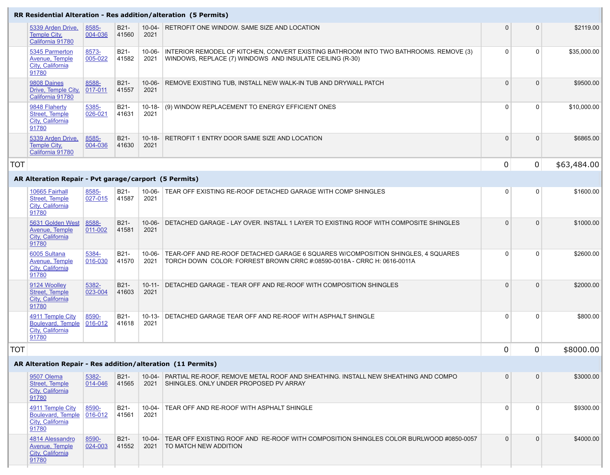## **RR Residential Alteration - Res addition/alteration (5 Permits)**

| 5339 Arden Drive,<br><b>Temple City,</b><br>California 91780        | 8585-<br>004-036     | B21-<br>41560 | $10 - 04 -$<br>2021 | RETROFIT ONE WINDOW. SAME SIZE AND LOCATION                                                                                                       | $\overline{0}$ | $\overline{0}$ | \$2119.00   |
|---------------------------------------------------------------------|----------------------|---------------|---------------------|---------------------------------------------------------------------------------------------------------------------------------------------------|----------------|----------------|-------------|
| 5345 Parmerton<br>Avenue, Temple<br>City, California<br>91780       | 8573-<br>005-022     | B21-<br>41582 | $10 - 06 -$<br>2021 | INTERIOR REMODEL OF KITCHEN, CONVERT EXISTING BATHROOM INTO TWO BATHROOMS. REMOVE (3)<br>WINDOWS, REPLACE (7) WINDOWS AND INSULATE CEILING (R-30) | $\Omega$       |                | \$35,000.00 |
| 9808 Daines<br>Drive, Temple City,<br>California 91780              | 8588-<br>017-011     | B21-<br>41557 | $10 - 06 -$<br>2021 | REMOVE EXISTING TUB, INSTALL NEW WALK-IN TUB AND DRYWALL PATCH                                                                                    | $\Omega$       | 0              | \$9500.00   |
| 9848 Flaherty<br><b>Street, Temple</b><br>City, California<br>91780 | 5385-<br>$026 - 021$ | B21-<br>41631 | $10 - 18 -$<br>2021 | (9) WINDOW REPLACEMENT TO ENERGY EFFICIENT ONES                                                                                                   |                |                | \$10,000.00 |
| 5339 Arden Drive,<br><b>Temple City,</b><br>California 91780        | 8585-<br>004-036     | B21-<br>41630 | $10 - 18 -$<br>2021 | RETROFIT 1 ENTRY DOOR SAME SIZE AND LOCATION                                                                                                      | $\Omega$       |                | \$6865.00   |

## **AR Alteration Repair - Pvt garage/carport (5 Permits)**

| 10665 Fairhall<br><b>Street, Temple</b><br><b>City, California</b><br>91780      | 8585-<br>027-015 | B21-<br>41587        | $10 - 06 -$<br>2021 | TEAR OFF EXISTING RE-ROOF DETACHED GARAGE WITH COMP SHINGLES                                                                                                | $\overline{0}$ | $\Omega$ | \$1600.00 |
|----------------------------------------------------------------------------------|------------------|----------------------|---------------------|-------------------------------------------------------------------------------------------------------------------------------------------------------------|----------------|----------|-----------|
| 5631 Golden West<br><b>Avenue, Temple</b><br>City, California<br>91780           | 8588-<br>011-002 | <b>B21-</b><br>41581 | $10 - 06 -$<br>2021 | DETACHED GARAGE - LAY OVER. INSTALL 1 LAYER TO EXISTING ROOF WITH COMPOSITE SHINGLES                                                                        | $\Omega$       | $\Omega$ | \$1000.00 |
| 6005 Sultana<br><b>Avenue, Temple</b><br>City, California<br>91780               | 5384-<br>016-030 | <b>B21-</b><br>41570 | $10 - 06 -$<br>2021 | TEAR-OFF AND RE-ROOF DETACHED GARAGE 6 SQUARES W/COMPOSITION SHINGLES, 4 SQUARES<br>TORCH DOWN COLOR: FORREST BROWN CRRC #:08590-0018A - CRRC H: 0616-0011A |                |          | \$2600.00 |
| 9124 Woolley<br><b>Street, Temple</b><br>City, California<br>91780               | 5382-<br>023-004 | B21-<br>41603        | $10 - 11 -$<br>2021 | DETACHED GARAGE - TEAR OFF AND RE-ROOF WITH COMPOSITION SHINGLES                                                                                            | $\Omega$       | 0        | \$2000.00 |
| 4911 Temple City<br><b>Boulevard, Temple</b><br><b>City, California</b><br>91780 | 8590-<br>016-012 | B21-<br>41618        | $10 - 13 -$<br>2021 | DETACHED GARAGE TEAR OFF AND RE-ROOF WITH ASPHALT SHINGLE                                                                                                   | $\Omega$       | 0        | \$800.00  |

|     |                                                                             |                  |               |                     | RR Residential Alteration - Res addition/alteration (5 Permits)                                                                                             |                |                |             |
|-----|-----------------------------------------------------------------------------|------------------|---------------|---------------------|-------------------------------------------------------------------------------------------------------------------------------------------------------------|----------------|----------------|-------------|
|     | 5339 Arden Drive,<br><b>Temple City,</b><br>California 91780                | 8585-<br>004-036 | B21-<br>41560 | 2021                | 10-04- RETROFIT ONE WINDOW. SAME SIZE AND LOCATION                                                                                                          | $\overline{0}$ | $\overline{0}$ | \$2119.00   |
|     | 5345 Parmerton<br><b>Avenue, Temple</b><br>City, California<br>91780        | 8573-<br>005-022 | B21-<br>41582 | 10-06-<br>2021      | INTERIOR REMODEL OF KITCHEN, CONVERT EXISTING BATHROOM INTO TWO BATHROOMS. REMOVE (3)<br>WINDOWS, REPLACE (7) WINDOWS AND INSULATE CEILING (R-30)           |                | $\overline{0}$ | \$35,000.00 |
|     | 9808 Daines<br>Drive, Temple City,<br>California 91780                      | 8588-<br>017-011 | B21-<br>41557 | $10 - 06 -$<br>2021 | REMOVE EXISTING TUB, INSTALL NEW WALK-IN TUB AND DRYWALL PATCH                                                                                              |                | $\overline{0}$ | \$9500.00   |
|     | 9848 Flaherty<br><b>Street, Temple</b><br><b>City, California</b><br>91780  | 5385-<br>026-021 | B21-<br>41631 | $10 - 18 -$<br>2021 | (9) WINDOW REPLACEMENT TO ENERGY EFFICIENT ONES                                                                                                             | $\Omega$       | $\overline{0}$ | \$10,000.00 |
|     | 5339 Arden Drive,<br><b>Temple City,</b><br>California 91780                | 8585-<br>004-036 | B21-<br>41630 | $10 - 18 -$<br>2021 | <b>RETROFIT 1 ENTRY DOOR SAME SIZE AND LOCATION</b>                                                                                                         |                | $\overline{0}$ | \$6865.00   |
| TOT |                                                                             |                  |               |                     |                                                                                                                                                             | $\mathbf 0$    | $\overline{0}$ | \$63,484.00 |
|     | AR Alteration Repair - Pvt garage/carport (5 Permits)                       |                  |               |                     |                                                                                                                                                             |                |                |             |
|     | 10665 Fairhall<br><b>Street, Temple</b><br><b>City, California</b><br>91780 | 8585-<br>027-015 | B21-<br>41587 | $10 - 06 -$<br>2021 | TEAR OFF EXISTING RE-ROOF DETACHED GARAGE WITH COMP SHINGLES                                                                                                | $\overline{0}$ | $\overline{0}$ | \$1600.00   |
|     | 5631 Golden West<br><b>Avenue, Temple</b><br>City, California<br>91780      | 8588-<br>011-002 | B21-<br>41581 | $10 - 06 -$<br>2021 | DETACHED GARAGE - LAY OVER. INSTALL 1 LAYER TO EXISTING ROOF WITH COMPOSITE SHINGLES                                                                        | $\Omega$       | $\Omega$       | \$1000.00   |
|     | 6005 Sultana<br><b>Avenue, Temple</b><br>City, California<br>91780          | 5384-<br>016-030 | B21-<br>41570 | $10 - 06 -$<br>2021 | TEAR-OFF AND RE-ROOF DETACHED GARAGE 6 SQUARES W/COMPOSITION SHINGLES, 4 SQUARES<br>TORCH DOWN COLOR: FORREST BROWN CRRC #:08590-0018A - CRRC H: 0616-0011A |                | $\Omega$       | \$2600.00   |
|     | 9124 Woolley<br><b>Street, Temple</b><br>City, California<br>91780          | 5382-<br>023-004 | B21-<br>41603 | $10 - 11 -$<br>2021 | DETACHED GARAGE - TEAR OFF AND RE-ROOF WITH COMPOSITION SHINGLES                                                                                            |                | $\overline{0}$ | \$2000.00   |
|     | 4911 Temple City<br><b>Boulevard, Temple</b><br>City, California<br>91780   | 8590-<br>016-012 | B21-<br>41618 | $10 - 13 -$<br>2021 | DETACHED GARAGE TEAR OFF AND RE-ROOF WITH ASPHALT SHINGLE                                                                                                   | $\Omega$       | $\Omega$       | \$800.00    |
| TOT |                                                                             |                  |               |                     |                                                                                                                                                             | $\mathbf 0$    | $\overline{0}$ | \$8000.00   |
|     |                                                                             |                  |               |                     | AR Alteration Repair - Res addition/alteration (11 Permits)                                                                                                 |                |                |             |
|     | 9507 Olema<br><b>Street, Temple</b><br>City, California<br>91780            | 5382-<br>014-046 | B21-<br>41565 | 2021                | 10-04- PARTIAL RE-ROOF, REMOVE METAL ROOF AND SHEATHING. INSTALL NEW SHEATHING AND COMPO<br>SHINGLES. ONLY UNDER PROPOSED PV ARRAY                          | $\overline{0}$ | $\overline{0}$ | \$3000.00   |
|     | 4911 Temple City<br>Boulevard, Temple<br><b>City, California</b><br>91780   | 8590-<br>016-012 | B21-<br>41561 | $10 - 04 -$<br>2021 | TEAR OFF AND RE-ROOF WITH ASPHALT SHINGLE                                                                                                                   |                | $\overline{0}$ | \$9300.00   |
|     | 4814 Alessandro<br><b>Avenue, Temple</b><br>City, California<br>91780       | 8590-<br>024-003 | B21-<br>41552 | $10 - 04 -$<br>2021 | TEAR OFF EXISTING ROOF AND RE-ROOF WITH COMPOSITION SHINGLES COLOR BURLWOOD #0850-0057<br>TO MATCH NEW ADDITION                                             | $\overline{0}$ | $\overline{0}$ | \$4000.00   |

## **AR Alteration Repair - Res addition/alteration (11 Permits)**

| 9507 Olema<br>Street, Temple<br>City, California<br>91780                 | 5382-<br>014-046 | B21-<br>41565 | 2021             | 10-04- PARTIAL RE-ROOF, REMOVE METAL ROOF AND SHEATHING. INSTALL NEW SHEATHING AND COMPO<br>SHINGLES, ONLY UNDER PROPOSED PV ARRAY |  | \$3000.00 |
|---------------------------------------------------------------------------|------------------|---------------|------------------|------------------------------------------------------------------------------------------------------------------------------------|--|-----------|
| 4911 Temple City<br><b>Boulevard, Temple</b><br>City, California<br>91780 | 8590-<br>016-012 | B21-<br>41561 | $10-04-$<br>2021 | TEAR OFF AND RE-ROOF WITH ASPHALT SHINGLE                                                                                          |  | \$9300.00 |
| 4814 Alessandro<br>Avenue, Temple<br>City, California<br>91780            | 8590-<br>024-003 | B21-<br>41552 | $10-04-$<br>2021 | TEAR OFF EXISTING ROOF AND RE-ROOF WITH COMPOSITION SHINGLES COLOR BURLWOOD #0850-0057<br>TO MATCH NEW ADDITION                    |  | \$4000.00 |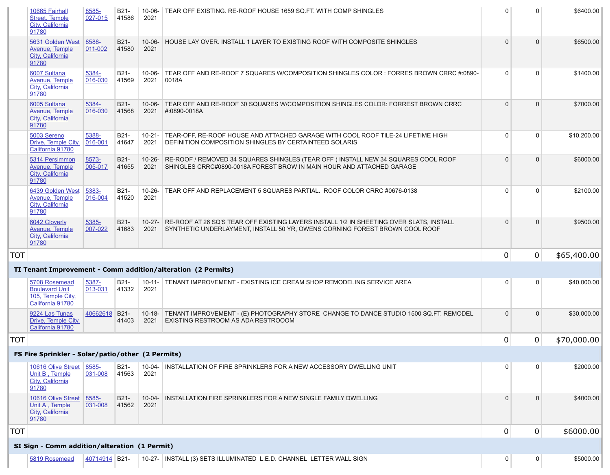|            | 10665 Fairhall<br><b>Street, Temple</b><br><b>City, California</b><br>91780     | 8585-<br>027-015 | B21-<br>41586        | 10-06-<br>2021      | TEAR OFF EXISTING. RE-ROOF HOUSE 1659 SQ.FT. WITH COMP SHINGLES                                                                                                               | $\Omega$       | $\Omega$       | \$6400.00   |
|------------|---------------------------------------------------------------------------------|------------------|----------------------|---------------------|-------------------------------------------------------------------------------------------------------------------------------------------------------------------------------|----------------|----------------|-------------|
|            | 5631 Golden West<br><b>Avenue, Temple</b><br><b>City, California</b><br>91780   | 8588-<br>011-002 | B21-<br>41580        | $10 - 06 -$<br>2021 | HOUSE LAY OVER. INSTALL 1 LAYER TO EXISTING ROOF WITH COMPOSITE SHINGLES                                                                                                      |                |                | \$6500.00   |
|            | 6007 Sultana<br>Avenue, Temple<br>City, California<br>91780                     | 5384-<br>016-030 | <b>B21-</b><br>41569 | $10 - 06 -$<br>2021 | TEAR OFF AND RE-ROOF 7 SQUARES W/COMPOSITION SHINGLES COLOR : FORRES BROWN CRRC #:0890-<br> 0018A                                                                             |                | $\Omega$       | \$1400.00   |
|            | 6005 Sultana<br>Avenue, Temple<br>City, California<br>91780                     | 5384-<br>016-030 | B21-<br>41568        | $10 - 06 -$<br>2021 | TEAR OFF AND RE-ROOF 30 SQUARES W/COMPOSITION SHINGLES COLOR: FORREST BROWN CRRC<br>#:0890-0018A                                                                              |                | $\Omega$       | \$7000.00   |
|            | 5003 Sereno<br>Drive, Temple City,<br>California 91780                          | 5388-<br>016-001 | B21-<br>41647        | $10-21-$<br>2021    | TEAR-OFF, RE-ROOF HOUSE AND ATTACHED GARAGE WITH COOL ROOF TILE-24 LIFETIME HIGH<br><b>DEFINITION COMPOSITION SHINGLES BY CERTAINTEED SOLARIS</b>                             |                | $\Omega$       | \$10,200.00 |
|            | 5314 Persimmon<br>Avenue, Temple<br>City, California<br>91780                   | 8573-<br>005-017 | B21-<br>41655        | 2021                | 10-26- RE-ROOF / REMOVED 34 SQUARES SHINGLES (TEAR OFF) INSTALL NEW 34 SQUARES COOL ROOF<br>SHINGLES CRRC#0890-0018A FOREST BROW IN MAIN HOUR AND ATTACHED GARAGE             |                |                | \$6000.00   |
|            | 6439 Golden West<br><b>Avenue, Temple</b><br>City, California<br>91780          | 5383-<br>016-004 | B21-<br>41520        | $10 - 26 -$<br>2021 | TEAR OFF AND REPLACEMENT 5 SQUARES PARTIAL. ROOF COLOR CRRC #0676-0138                                                                                                        |                | $\Omega$       | \$2100.00   |
|            | 6042 Cloverly<br>Avenue, Temple<br>City, California<br>91780                    | 5385-<br>007-022 | B21-<br>41683        | 2021                | 10-27- RE-ROOF AT 26 SQ'S TEAR OFF EXISTING LAYERS INSTALL 1/2 IN SHEETING OVER SLATS, INSTALL<br>SYNTHETIC UNDERLAYMENT, INSTALL 50 YR, OWENS CORNING FOREST BROWN COOL ROOF |                |                | \$9500.00   |
| <b>TOT</b> |                                                                                 |                  |                      |                     |                                                                                                                                                                               | $\overline{0}$ | $\overline{0}$ | \$65,400.00 |
|            |                                                                                 |                  |                      |                     | TI Tenant Improvement - Comm addition/alteration (2 Permits)                                                                                                                  |                |                |             |
|            | 5708 Rosemead<br><b>Boulevard Unit</b><br>105, Temple City,<br>California 91780 | 5387-<br>013-031 | B21-<br>41332        | $10 - 11 -$<br>2021 | TENANT IMPROVEMENT - EXISTING ICE CREAM SHOP REMODELING SERVICE AREA                                                                                                          |                | $\overline{0}$ | \$40,000.00 |
|            | 9224 Las Tunas<br>Drive, Temple City,<br>California 91780                       | 40662618 B21-    | 41403                | $10 - 18 -$<br>2021 | TENANT IMPROVEMENT - (E) PHOTOGRAPHY STORE CHANGE TO DANCE STUDIO 1500 SQ.FT. REMODEL<br>EXISTING RESTROOM AS ADA RESTROOOM                                                   | $\Omega$       | $\Omega$       | \$30,000.00 |
| <b>TOT</b> |                                                                                 |                  |                      |                     |                                                                                                                                                                               | $\overline{0}$ | 0              | \$70,000.00 |
|            | FS Fire Sprinkler - Solar/patio/other (2 Permits)                               |                  |                      |                     |                                                                                                                                                                               |                |                |             |
|            | 10616 Olive Street<br>Unit B, Temple<br><b>City, California</b><br>91780        | 8585-<br>031-008 | B21-<br>41563        | $10 - 04 -$<br>2021 | INSTALLATION OF FIRE SPRINKLERS FOR A NEW ACCESSORY DWELLING UNIT                                                                                                             | $\overline{0}$ | $\overline{0}$ | \$2000.00   |
|            | 10616 Olive Street<br>Unit A, Temple<br><b>City, California</b><br>91780        | 8585-<br>031-008 | B21-<br>41562        | $10 - 04 -$<br>2021 | INSTALLATION FIRE SPRINKLERS FOR A NEW SINGLE FAMILY DWELLING                                                                                                                 |                | $\Omega$       | \$4000.00   |
| <b>TOT</b> |                                                                                 |                  |                      |                     |                                                                                                                                                                               | $\mathbf 0$    | $\overline{0}$ | \$6000.00   |
|            | SI Sign - Comm addition/alteration (1 Permit)                                   |                  |                      |                     |                                                                                                                                                                               |                |                |             |
|            | 5819 Rosemead                                                                   | 40714914 B21-    |                      |                     | 10-27-   INSTALL (3) SETS ILLUMINATED L.E.D. CHANNEL LETTER WALL SIGN                                                                                                         | $\overline{0}$ | $\overline{0}$ | \$5000.00   |

| 5708 Rosemead<br><b>Boulevard Unit</b><br>105, Temple City,<br>California 91780 | 5387-<br>013-031 | B <sub>21</sub> -<br>41332 | $10-11-$<br>2021 | TENANT IMPROVEMENT - EXISTING ICE CREAM SHOP REMODELING SERVICE AREA                                               |
|---------------------------------------------------------------------------------|------------------|----------------------------|------------------|--------------------------------------------------------------------------------------------------------------------|
| 9224 Las Tunas<br>Drive, Temple City,<br>California 91780                       | 40662618         | $B21-$<br>41403            | 2021             | 10-18- TENANT IMPROVEMENT - (E) PHOTOGRAPHY STORE CHANGE TO DANCE STUDIO 150<br>EXISTING RESTROOM AS ADA RESTROOOM |
|                                                                                 |                  |                            |                  |                                                                                                                    |

| 10616 Olive Street<br>Unit B, Temple<br>City, California<br>91780 | 8585-<br>031-008 | B <sub>21</sub> -<br>41563 | $10 - 04 -$<br>2021 | INSTALLATION OF FIRE SPRINKLERS FOR A NEW ACCESSORY DWELLING UNIT |
|-------------------------------------------------------------------|------------------|----------------------------|---------------------|-------------------------------------------------------------------|
| 10616 Olive Street<br>Unit A, Temple<br>City, California<br>91780 | 8585-<br>031-008 | <b>B21-</b><br>41562       | 10-04-<br>2021      | INSTALLATION FIRE SPRINKLERS FOR A NEW SINGLE FAMILY DWELLING     |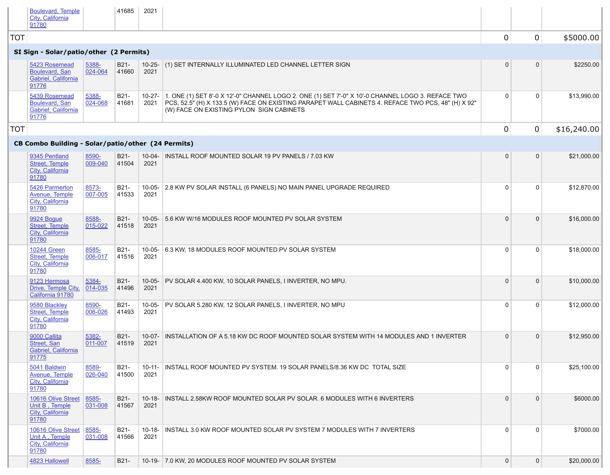| Boulevard, San<br>Gabriel, California<br>91776                  | 024-064          | 41660                      | 2021 |                                                                                                                                                                                                                          |
|-----------------------------------------------------------------|------------------|----------------------------|------|--------------------------------------------------------------------------------------------------------------------------------------------------------------------------------------------------------------------------|
| 5439 Rosemead<br>Boulevard, San<br>Gabriel, California<br>91776 | 5388-<br>024-068 | B <sub>21</sub> -<br>41681 | 2021 | 10-27- 1. ONE (1) SET 8'-0 X 12'-0" CHANNEL LOGO 2. ONE (1) SET 7'-0" X 10'-0 CHANNEL LOGO<br>PCS, 52.5" (H) X 133.5 (W) FACE ON EXISTING PARAPET WALL CABINETS 4. REFACE TV<br>(W) FACE ON EXISTING PYLON SIGN CABINETS |

|     | <b>Boulevard, Temple</b><br>City, California<br>91780                       |                  | 41685         | 2021                |                                                                                                                                                                                                                                                     |                |                |             |
|-----|-----------------------------------------------------------------------------|------------------|---------------|---------------------|-----------------------------------------------------------------------------------------------------------------------------------------------------------------------------------------------------------------------------------------------------|----------------|----------------|-------------|
| TOT |                                                                             |                  |               |                     |                                                                                                                                                                                                                                                     | $\mathbf 0$    | $\overline{0}$ | \$5000.00   |
|     | SI Sign - Solar/patio/other (2 Permits)                                     |                  |               |                     |                                                                                                                                                                                                                                                     |                |                |             |
|     | 5423 Rosemead<br><b>Boulevard, San</b><br>Gabriel, California<br>91776      | 5388-<br>024-064 | B21-<br>41660 | 2021                | 10-25- (1) SET INTERNALLY ILLUMINATED LED CHANNEL LETTER SIGN                                                                                                                                                                                       | $\overline{0}$ | $\overline{0}$ | \$2250.00   |
|     | 5439 Rosemead<br><b>Boulevard, San</b><br>Gabriel, California<br>91776      | 5388-<br>024-068 | B21-<br>41681 | $10-27-$<br>2021    | 1. ONE (1) SET 8'-0 X 12'-0" CHANNEL LOGO 2. ONE (1) SET 7'-0" X 10'-0 CHANNEL LOGO 3. REFACE TWO<br>PCS, 52.5" (H) X 133.5 (W) FACE ON EXISTING PARAPET WALL CABINETS 4. REFACE TWO PCS, 48" (H) X 92"<br>(W) FACE ON EXISTING PYLON SIGN CABINETS | 0              |                | \$13,990.00 |
| TOT |                                                                             |                  |               |                     |                                                                                                                                                                                                                                                     | $\overline{0}$ | $\overline{0}$ | \$16,240.00 |
|     | CB Combo Building - Solar/patio/other (24 Permits)                          |                  |               |                     |                                                                                                                                                                                                                                                     |                |                |             |
|     | 9345 Pentland<br><b>Street, Temple</b><br>City, California<br>91780         | 8590-<br>009-040 | B21-<br>41504 | 2021                | 10-04- INSTALL ROOF MOUNTED SOLAR 19 PV PANELS / 7.03 KW                                                                                                                                                                                            | $\overline{0}$ | 0 <sup>1</sup> | \$21,000.00 |
|     | 5426 Parmerton<br><b>Avenue, Temple</b><br><b>City, California</b><br>91780 | 8573-<br>007-005 | B21-<br>41533 | $10 - 05 -$<br>2021 | 2.8 KW PV SOLAR INSTALL (6 PANELS) NO MAIN PANEL UPGRADE REQUIRED                                                                                                                                                                                   | $\Omega$       | $\overline{0}$ | \$12,870.00 |
|     | 9924 Bogue<br><b>Street, Temple</b><br>City, California<br>91780            | 8588-<br>015-022 | B21-<br>41518 | $10 - 05 -$<br>2021 | 5.6 KW W/16 MODULES ROOF MOUNTED PV SOLAR SYSTEM                                                                                                                                                                                                    | $\overline{0}$ | $\overline{0}$ | \$16,000.00 |
|     | <b>10244 Green</b><br><b>Street, Temple</b><br>City, California<br>91780    | 8585-<br>006-017 | B21-<br>41516 | $10 - 05 -$<br>2021 | 6.3 KW, 18 MODULES ROOF MOUNTED PV SOLAR SYSTEM                                                                                                                                                                                                     | $\Omega$       | $\overline{0}$ | \$18,000.00 |
|     | 9123 Hermosa<br>Drive, Temple City,<br>California 91780                     | 5384-<br>014-035 | B21-<br>41496 | $10 - 05 -$<br>2021 | PV SOLAR 4.400 KW, 10 SOLAR PANELS, I INVERTER, NO MPU.                                                                                                                                                                                             | $\overline{0}$ | $\overline{0}$ | \$10,000.00 |
|     | 9580 Blackley<br><b>Street, Temple</b><br>City, California<br>91780         | 8590-<br>006-026 | B21-<br>41493 | $10 - 05 -$<br>2021 | PV SOLAR 5.280 KW, 12 SOLAR PANELS, I INVERTER, NO MPU                                                                                                                                                                                              | $\overline{0}$ | $\overline{0}$ | \$12,000.00 |
|     | 9000 Callita<br><b>Street, San</b><br>Gabriel, California<br>91775          | 5382-<br>011-007 | B21-<br>41519 | $10 - 07 -$<br>2021 | INSTALLATION OF A 5.18 KW DC ROOF MOUNTED SOLAR SYSTEM WITH 14 MODULES AND 1 INVERTER                                                                                                                                                               | $\overline{0}$ | $\overline{0}$ | \$12,950.00 |
|     | 5041 Baldwin<br><b>Avenue, Temple</b><br>City, California<br>91780          | 8589-<br>026-040 | B21-<br>41500 | $10 - 11 -$<br>2021 | INSTALL ROOF MOUNTED PV SYSTEM. 19 SOLAR PANELS/8.36 KW DC TOTAL SIZE                                                                                                                                                                               | $\overline{0}$ | $\overline{0}$ | \$25,100.00 |
|     | 10616 Olive Street<br>Unit B, Temple<br>City, California<br>91780           | 8585-<br>031-008 | B21-<br>41567 | $10 - 18 -$<br>2021 | INSTALL 2.58KW ROOF MOUNTED SOLAR PV SOLAR. 6 MODULES WITH 6 INVERTERS                                                                                                                                                                              | $\overline{0}$ | $\overline{0}$ | \$6000.00   |
|     | 10616 Olive Street<br>Unit A, Temple<br><b>City, California</b><br>91780    | 8585-<br>031-008 | B21-<br>41566 | $10 - 18 -$<br>2021 | INSTALL 3.0 KW ROOF MOUNTED SOLAR PV SYSTEM 7 MODULES WITH 7 INVERTERS                                                                                                                                                                              | 0              |                | \$7000.00   |
|     | 4823 Hallowell                                                              | 8585-            | B21-          | $10 - 19 -$         | 7.0 KW, 20 MODULES ROOF MOUNTED PV SOLAR SYSTEM                                                                                                                                                                                                     | 0              | $\overline{0}$ | \$20,000.00 |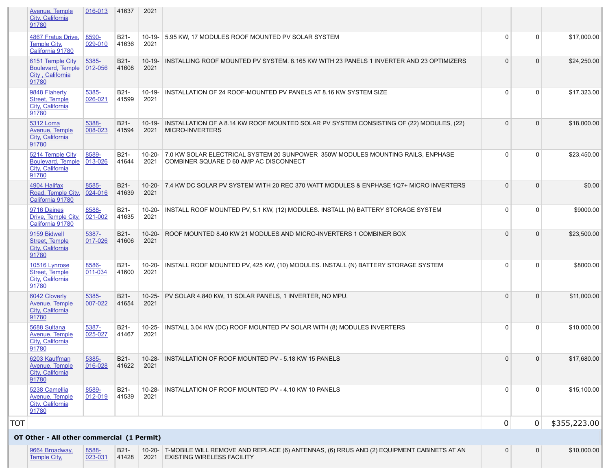|            | Avenue, Temple<br>City, California<br>91780                                | 016-013          | 41637         | 2021                |                                                                                                                               |                |                |              |
|------------|----------------------------------------------------------------------------|------------------|---------------|---------------------|-------------------------------------------------------------------------------------------------------------------------------|----------------|----------------|--------------|
|            | 4867 Fratus Drive,<br><b>Temple City,</b><br>California 91780              | 8590-<br>029-010 | B21-<br>41636 | $10 - 19 -$<br>2021 | 5.95 KW, 17 MODULES ROOF MOUNTED PV SOLAR SYSTEM                                                                              | $\Omega$       | $\Omega$       | \$17,000.00  |
|            | 6151 Temple City<br><b>Boulevard, Temple</b><br>City, California<br>91780  | 5385-<br>012-056 | B21-<br>41608 | $10 - 19 -$<br>2021 | INSTALLING ROOF MOUNTED PV SYSTEM. 8.165 KW WITH 23 PANELS 1 INVERTER AND 23 OPTIMIZERS                                       | $\Omega$       | $\overline{0}$ | \$24,250.00  |
|            | 9848 Flaherty<br><b>Street, Temple</b><br>City, California<br>91780        | 5385-<br>026-021 | B21-<br>41599 | $10 - 19 -$<br>2021 | INSTALLATION OF 24 ROOF-MOUNTED PV PANELS AT 8.16 KW SYSTEM SIZE                                                              | $\overline{0}$ | $\overline{0}$ | \$17,323.00  |
|            | <b>5312 Loma</b><br>Avenue, Temple<br>City, California<br>91780            | 5388-<br>008-023 | B21-<br>41594 | $10 - 19 -$<br>2021 | INSTALLATION OF A 8.14 KW ROOF MOUNTED SOLAR PV SYSTEM CONSISTING OF (22) MODULES, (22)<br><b>MICRO-INVERTERS</b>             |                | $\Omega$       | \$18,000.00  |
|            | 5214 Temple City<br><b>Boulevard, Temple</b><br>City, California<br>91780  | 8589-<br>013-026 | B21-<br>41644 | $10 - 20 -$<br>2021 | 7.0 KW SOLAR ELECTRICAL SYSTEM 20 SUNPOWER 350W MODULES MOUNTING RAILS, ENPHASE<br>COMBINER SQUARE D 60 AMP AC DISCONNECT     | -C             | $\Omega$       | \$23,450.00  |
|            | 4904 Halifax<br>Road, Temple City,<br>California 91780                     | 8585-<br>024-016 | B21-<br>41639 | $10-20-$<br>2021    | 7.4 KW DC SOLAR PV SYSTEM WITH 20 REC 370 WATT MODULES & ENPHASE 1Q7+ MICRO INVERTERS                                         |                | $\Omega$       | \$0.00       |
|            | 9716 Daines<br>Drive, Temple City,<br>California 91780                     | 8588-<br>021-002 | B21-<br>41635 | $10-20-$<br>2021    | INSTALL ROOF MOUNTED PV, 5.1 KW, (12) MODULES. INSTALL (N) BATTERY STORAGE SYSTEM                                             |                | $\Omega$       | \$9000.00    |
|            | 9159 Bidwell<br><b>Street, Temple</b><br>City, California<br>91780         | 5387-<br>017-026 | B21-<br>41606 | $10 - 20 -$<br>2021 | ROOF MOUNTED 8.40 KW 21 MODULES AND MICRO-INVERTERS 1 COMBINER BOX                                                            |                | $\overline{0}$ | \$23,500.00  |
|            | 10516 Lynrose<br><b>Street, Temple</b><br><b>City, California</b><br>91780 | 8586-<br>011-034 | B21-<br>41600 | $10 - 20 -$<br>2021 | INSTALL ROOF MOUNTED PV, 425 KW, (10) MODULES. INSTALL (N) BATTERY STORAGE SYSTEM                                             | $\Omega$       | $\overline{0}$ | \$8000.00    |
|            | 6042 Cloverly<br><b>Avenue, Temple</b><br>City, California<br>91780        | 5385-<br>007-022 | B21-<br>41654 | $10-25-$<br>2021    | PV SOLAR 4.840 KW, 11 SOLAR PANELS, 1 INVERTER, NO MPU.                                                                       |                | $\overline{0}$ | \$11,000.00  |
|            | 5688 Sultana<br><b>Avenue, Temple</b><br>City, California<br>91780         | 5387-<br>025-027 | B21-<br>41467 | $10 - 25 -$<br>2021 | INSTALL 3.04 KW (DC) ROOF MOUNTED PV SOLAR WITH (8) MODULES INVERTERS                                                         | -C             | $\overline{0}$ | \$10,000.00  |
|            | 6203 Kauffman<br><b>Avenue, Temple</b><br>City, California<br>91780        | 5385-<br>016-028 | B21-<br>41622 | $10 - 28 -$<br>2021 | INSTALLATION OF ROOF MOUNTED PV - 5.18 KW 15 PANELS                                                                           |                | $\Omega$       | \$17,680.00  |
|            | 5238 Camellia<br><b>Avenue, Temple</b><br>City, California<br>91780        | 8589-<br>012-019 | B21-<br>41539 | $10 - 28 -$<br>2021 | <b>INSTALLATION OF ROOF MOUNTED PV - 4.10 KW 10 PANELS</b>                                                                    | -C             | $\overline{0}$ | \$15,100.00  |
| TNT<br>╵┙╵ |                                                                            |                  |               |                     |                                                                                                                               |                | 0              | \$355,223.00 |
|            | OT Other - All other commercial (1 Permit)                                 |                  |               |                     |                                                                                                                               |                |                |              |
|            | 9664 Broadway,<br><b>Temple City,</b>                                      | 8588-<br>023-031 | B21-<br>41428 | $10 - 20 -$<br>2021 | T-MOBILE WILL REMOVE AND REPLACE (6) ANTENNAS, (6) RRUS AND (2) EQUIPMENT CABINETS AT AN<br><b>EXISTING WIRELESS FACILITY</b> | $\overline{0}$ | $\overline{0}$ | \$10,000.00  |